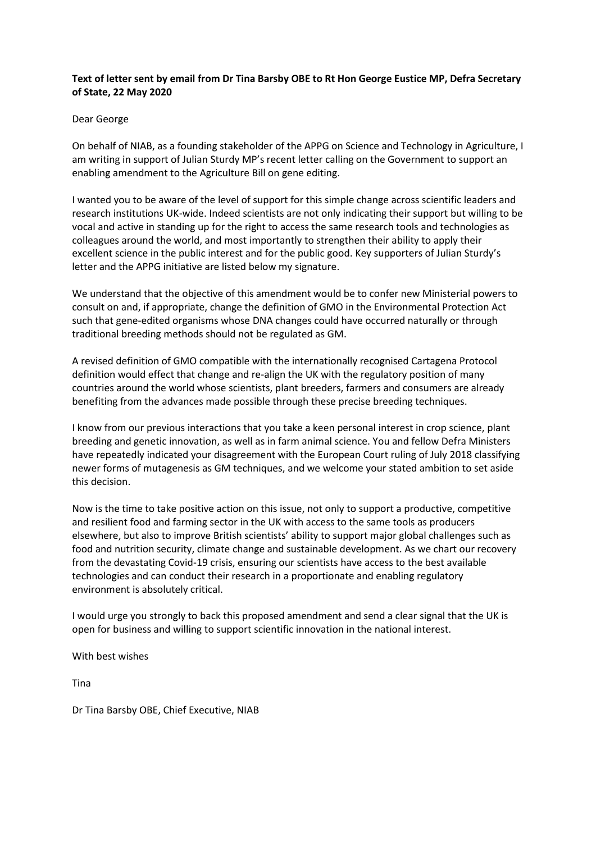## **Text of letter sent by email from Dr Tina Barsby OBE to Rt Hon George Eustice MP, Defra Secretary of State, 22 May 2020**

## Dear George

On behalf of NIAB, as a founding stakeholder of the APPG on Science and Technology in Agriculture, I am writing in support of Julian Sturdy MP's recent letter calling on the Government to support an enabling amendment to the Agriculture Bill on gene editing.

I wanted you to be aware of the level of support for this simple change across scientific leaders and research institutions UK-wide. Indeed scientists are not only indicating their support but willing to be vocal and active in standing up for the right to access the same research tools and technologies as colleagues around the world, and most importantly to strengthen their ability to apply their excellent science in the public interest and for the public good. Key supporters of Julian Sturdy's letter and the APPG initiative are listed below my signature.

We understand that the objective of this amendment would be to confer new Ministerial powers to consult on and, if appropriate, change the definition of GMO in the Environmental Protection Act such that gene-edited organisms whose DNA changes could have occurred naturally or through traditional breeding methods should not be regulated as GM.

A revised definition of GMO compatible with the internationally recognised Cartagena Protocol definition would effect that change and re-align the UK with the regulatory position of many countries around the world whose scientists, plant breeders, farmers and consumers are already benefiting from the advances made possible through these precise breeding techniques.

I know from our previous interactions that you take a keen personal interest in crop science, plant breeding and genetic innovation, as well as in farm animal science. You and fellow Defra Ministers have repeatedly indicated your disagreement with the European Court ruling of July 2018 classifying newer forms of mutagenesis as GM techniques, and we welcome your stated ambition to set aside this decision.

Now is the time to take positive action on this issue, not only to support a productive, competitive and resilient food and farming sector in the UK with access to the same tools as producers elsewhere, but also to improve British scientists' ability to support major global challenges such as food and nutrition security, climate change and sustainable development. As we chart our recovery from the devastating Covid-19 crisis, ensuring our scientists have access to the best available technologies and can conduct their research in a proportionate and enabling regulatory environment is absolutely critical.

I would urge you strongly to back this proposed amendment and send a clear signal that the UK is open for business and willing to support scientific innovation in the national interest.

With best wishes

Tina

Dr Tina Barsby OBE, Chief Executive, NIAB